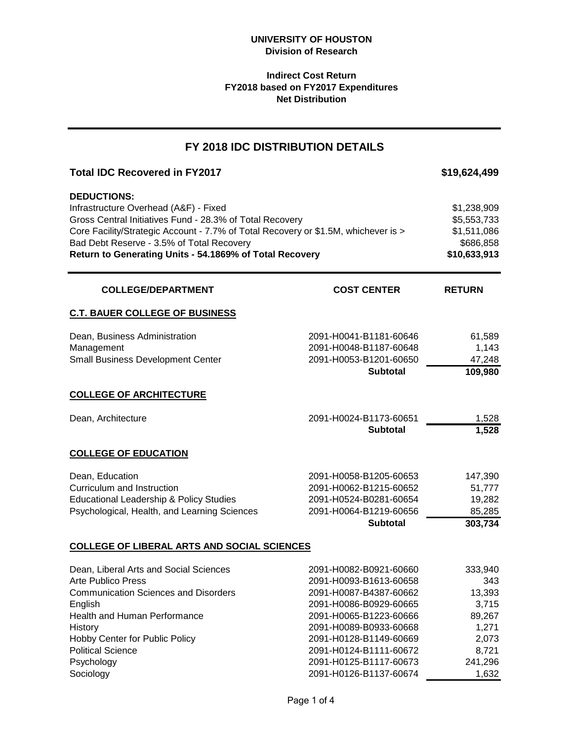# **Indirect Cost Return FY2018 based on FY2017 Expenditures Net Distribution**

# **Total IDC Recovered in FY2017 \$19,624,499 DEDUCTIONS:** Infrastructure Overhead (A&F) - Fixed \$1,238,909 \$1,238,909 Gross Central Initiatives Fund - 28.3% of Total Recovery **\$5,553,733** \$5,553,733 Core Facility/Strategic Account - 7.7% of Total Recovery or \$1.5M, whichever is > \$1,511,086 Bad Debt Reserve - 3.5% of Total Recovery **\$686,858** SSB **Return to Generating Units - 54.1869% of Total Recovery <b>10.683,913** \$10,633,913 **RETURN C.T. BAUER COLLEGE OF BUSINESS** Dean, Business Administration 2091-H0041-B1181-60646 61,589 Management 1,143 Small Business Development Center 2091-H0053-B1201-60650 47,248 **Subtotal 109,980 COLLEGE OF ARCHITECTURE** Dean, Architecture 2091-H0024-B1173-60651 1,528 **Subtotal 1,528 COLLEGE OF EDUCATION** Dean, Education 2091-H0058-B1205-60653 147,390 Curriculum and Instruction 2091-H0062-B1215-60652 51,777 Educational Leadership & Policy Studies 2091-H0524-B0281-60654 19,282 Psychological, Health, and Learning Sciences 2091-H0064-B1219-60656 85,285 **Subtotal 303,734 COLLEGE OF LIBERAL ARTS AND SOCIAL SCIENCES** Dean, Liberal Arts and Social Sciences 2091-H0082-B0921-60660 333,940 Arte Publico Press 2091-H0093-B1613-60658 343 Communication Sciences and Disorders 2091-H0087-B4387-60662 13,393 English 2091-H0086-B0929-60665 3,715 Health and Human Performance 2091-H0065-B1223-60666 89,267 History 2091-H0089-B0933-60668 1,271 Hobby Center for Public Policy 2091-H0128-B1149-60669 2,073 **FY 2018 IDC DISTRIBUTION DETAILS COLLEGE/DEPARTMENT COST CENTER**

Political Science 2091-H0124-B1111-60672 8,721 Psychology 2091-H0125-B1117-60673 241,296 Sociology 2091-H0126-B1137-60674 1,632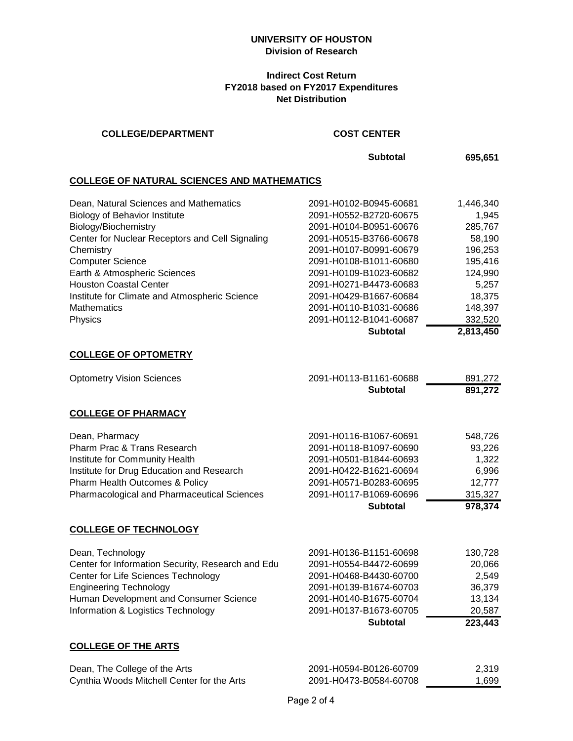### **UNIVERSITY OF HOUSTON Division of Research**

# **Indirect Cost Return FY2018 based on FY2017 Expenditures Net Distribution**

#### **COLLEGE/DEPARTMENT COST CENTER**

**Subtotal 695,651**

### **COLLEGE OF NATURAL SCIENCES AND MATHEMATICS**

| Dean, Natural Sciences and Mathematics          | 2091-H0102-B0945-60681 | 1,446,340 |
|-------------------------------------------------|------------------------|-----------|
| <b>Biology of Behavior Institute</b>            | 2091-H0552-B2720-60675 | 1.945     |
| Biology/Biochemistry                            | 2091-H0104-B0951-60676 | 285,767   |
| Center for Nuclear Receptors and Cell Signaling | 2091-H0515-B3766-60678 | 58,190    |
| Chemistry                                       | 2091-H0107-B0991-60679 | 196,253   |
| <b>Computer Science</b>                         | 2091-H0108-B1011-60680 | 195,416   |
| Earth & Atmospheric Sciences                    | 2091-H0109-B1023-60682 | 124,990   |
| <b>Houston Coastal Center</b>                   | 2091-H0271-B4473-60683 | 5,257     |
| Institute for Climate and Atmospheric Science   | 2091-H0429-B1667-60684 | 18,375    |
| <b>Mathematics</b>                              | 2091-H0110-B1031-60686 | 148,397   |
| Physics                                         | 2091-H0112-B1041-60687 | 332,520   |
|                                                 | <b>Subtotal</b>        | 2,813,450 |

#### **COLLEGE OF OPTOMETRY**

| <b>Optometry Vision Sciences</b>                   | 2091-H0113-B1161-60688 | 891,272 |
|----------------------------------------------------|------------------------|---------|
|                                                    | <b>Subtotal</b>        | 891,272 |
| <b>COLLEGE OF PHARMACY</b>                         |                        |         |
| Dean, Pharmacy                                     | 2091-H0116-B1067-60691 | 548,726 |
| Pharm Prac & Trans Research                        | 2091-H0118-B1097-60690 | 93,226  |
| Institute for Community Health                     | 2091-H0501-B1844-60693 | 1,322   |
| Institute for Drug Education and Research          | 2091-H0422-B1621-60694 | 6,996   |
| Pharm Health Outcomes & Policy                     | 2091-H0571-B0283-60695 | 12,777  |
| <b>Pharmacological and Pharmaceutical Sciences</b> | 2091-H0117-B1069-60696 | 315,327 |
|                                                    | <b>Subtotal</b>        | 978,374 |
| <b>COLLEGE OF TECHNOLOGY</b>                       |                        |         |
| Dean, Technology                                   | 2091-H0136-B1151-60698 | 130,728 |
| Center for Information Security, Research and Edu  | 2091-H0554-B4472-60699 | 20,066  |
| Center for Life Sciences Technology                | 2091-H0468-B4430-60700 | 2,549   |
| Engineering Technology                             | 2091-H0139-B1674-60703 | 36 379. |

Engineering Technology 2091-H0139-B1674-60703 36,379 Human Development and Consumer Science 2091-H0140-B1675-60704 13,134<br>Information & Logistics Technology 2091-H0137-B1673-60705 20,587 Information & Logistics Technology 2091-H0137-B1673-60705 20587<br>**223,443<br>Subtotal 223,443 Subtotal 223,443**

# **COLLEGE OF THE ARTS**

| Dean, The College of the Arts              | 2091-H0594-B0126-60709 | 2.319 |
|--------------------------------------------|------------------------|-------|
| Cynthia Woods Mitchell Center for the Arts | 2091-H0473-B0584-60708 | 1.699 |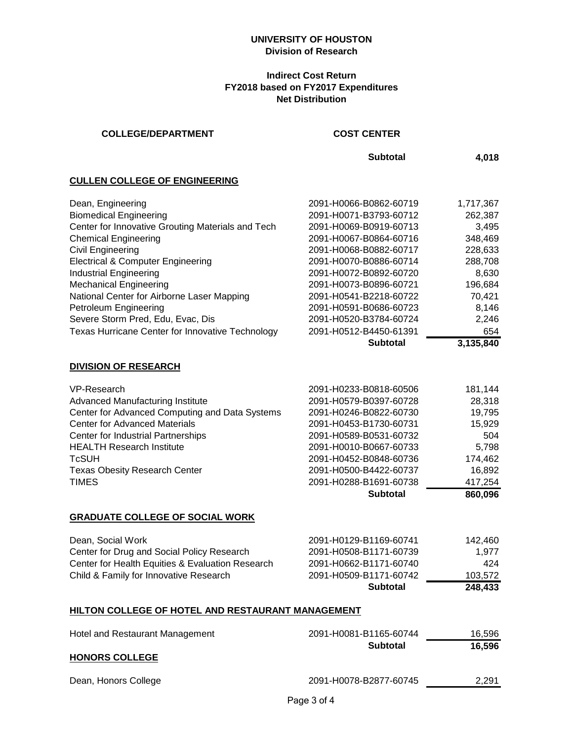# **UNIVERSITY OF HOUSTON Division of Research**

# **Indirect Cost Return FY2018 based on FY2017 Expenditures Net Distribution**

| <b>COLLEGE/DEPARTMENT</b>                         | <b>COST CENTER</b>     |           |
|---------------------------------------------------|------------------------|-----------|
|                                                   | <b>Subtotal</b>        | 4,018     |
| <b>CULLEN COLLEGE OF ENGINEERING</b>              |                        |           |
| Dean, Engineering                                 | 2091-H0066-B0862-60719 | 1,717,367 |
| <b>Biomedical Engineering</b>                     | 2091-H0071-B3793-60712 | 262,387   |
| Center for Innovative Grouting Materials and Tech | 2091-H0069-B0919-60713 | 3,495     |
| <b>Chemical Engineering</b>                       | 2091-H0067-B0864-60716 | 348,469   |
| <b>Civil Engineering</b>                          | 2091-H0068-B0882-60717 | 228,633   |
| <b>Electrical &amp; Computer Engineering</b>      | 2091-H0070-B0886-60714 | 288,708   |
| <b>Industrial Engineering</b>                     | 2091-H0072-B0892-60720 | 8,630     |
| <b>Mechanical Engineering</b>                     | 2091-H0073-B0896-60721 | 196,684   |
| National Center for Airborne Laser Mapping        | 2091-H0541-B2218-60722 | 70,421    |
| Petroleum Engineering                             | 2091-H0591-B0686-60723 | 8,146     |
| Severe Storm Pred, Edu, Evac, Dis                 | 2091-H0520-B3784-60724 | 2,246     |
| Texas Hurricane Center for Innovative Technology  | 2091-H0512-B4450-61391 | 654       |
|                                                   | <b>Subtotal</b>        | 3,135,840 |
| <b>DIVISION OF RESEARCH</b>                       |                        |           |
| VP-Research                                       | 2091-H0233-B0818-60506 | 181,144   |
| Advanced Manufacturing Institute                  | 2091-H0579-B0397-60728 | 28,318    |
| Center for Advanced Computing and Data Systems    | 2091-H0246-B0822-60730 | 19,795    |
| <b>Center for Advanced Materials</b>              | 2091-H0453-B1730-60731 | 15,929    |
| <b>Center for Industrial Partnerships</b>         | 2091-H0589-B0531-60732 | 504       |
| <b>HEALTH Research Institute</b>                  | 2091-H0010-B0667-60733 | 5,798     |
| <b>TcSUH</b>                                      | 2091-H0452-B0848-60736 | 174,462   |
| <b>Texas Obesity Research Center</b>              | 2091-H0500-B4422-60737 | 16,892    |
| <b>TIMES</b>                                      | 2091-H0288-B1691-60738 | 417,254   |
|                                                   | <b>Subtotal</b>        | 860,096   |
| <b>GRADUATE COLLEGE OF SOCIAL WORK</b>            |                        |           |
| Dean, Social Work                                 | 2091-H0129-B1169-60741 | 142,460   |
| Center for Drug and Social Policy Research        | 2091-H0508-B1171-60739 | 1,977     |
| Center for Health Equities & Evaluation Research  | 2091-H0662-B1171-60740 | 424       |
| Child & Family for Innovative Research            | 2091-H0509-B1171-60742 | 103,572   |
|                                                   | <b>Subtotal</b>        | 248,433   |
|                                                   |                        |           |
| HILTON COLLEGE OF HOTEL AND RESTAURANT MANAGEMENT |                        |           |
| <b>Hotel and Restaurant Management</b>            | 2091-H0081-B1165-60744 | 16,596    |
|                                                   | <b>Subtotal</b>        | 16,596    |
| <b>HONORS COLLEGE</b>                             |                        |           |

Dean, Honors College 2091-H0078-B2877-60745 2091-H0078-B2877-60745